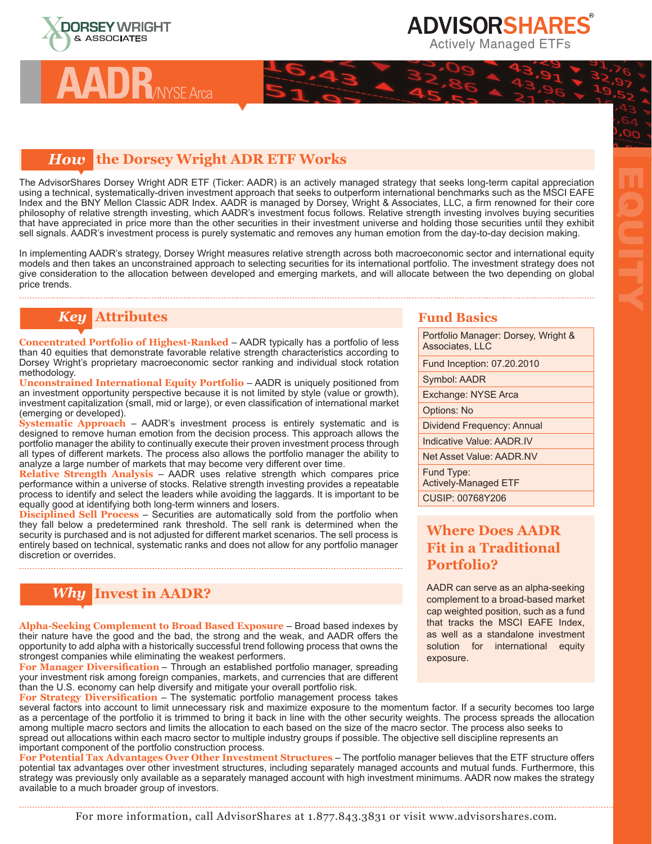

**AADR**/NYSE Arca

# **ADVISORSHARES**

#### **Actively Managed ETFs**

#### *How* **the Dorsey Wright ADR ETF Works**

The AdvisorShares Dorsey Wright ADR ETF (Ticker: AADR) is an actively managed strategy that seeks long-term capital appreciation using a technical, systematically-driven investment approach that seeks to outperform international benchmarks such as the MSCI EAFE Index and the BNY Mellon Classic ADR Index. AADR is managed by Dorsey, Wright & Associates, LLC, a firm renowned for their core philosophy of relative strength investing, which AADR's investment focus follows. Relative strength investing involves buying securities that have appreciated in price more than the other securities in their investment universe and holding those securities until they exhibit sell signals. AADR's investment process is purely systematic and removes any human emotion from the day-to-day decision making.

In implementing AADR's strategy, Dorsey Wright measures relative strength across both macroeconomic sector and international equity models and then takes an unconstrained approach to selecting securities for its international portfolio. The investment strategy does not give consideration to the allocation between developed and emerging markets, and will allocate between the two depending on global price trends.

## *Key* **Attributes**

**Concentrated Portfolio of Highest-Ranked** – AADR typically has a portfolio of less than 40 equities that demonstrate favorable relative strength characteristics according to Dorsey Wright's proprietary macroeconomic sector ranking and individual stock rotation methodology.

**Unconstrained International Equity Portfolio** – AADR is uniquely positioned from an investment opportunity perspective because it is not limited by style (value or growth), investment capitalization (small, mid or large), or even classification of international market (emerging or developed).

**Systematic Approach** – AADR's investment process is entirely systematic and is designed to remove human emotion from the decision process. This approach allows the portfolio manager the ability to continually execute their proven investment process through all types of different markets. The process also allows the portfolio manager the ability to analyze a large number of markets that may become very different over time.

**Relative Strength Analysis** – AADR uses relative strength which compares price performance within a universe of stocks. Relative strength investing provides a repeatable process to identify and select the leaders while avoiding the laggards. It is important to be equally good at identifying both long-term winners and losers.

**Disciplined Sell Process** – Securities are automatically sold from the portfolio when they fall below a predetermined rank threshold. The sell rank is determined when the security is purchased and is not adjusted for different market scenarios. The sell process is entirely based on technical, systematic ranks and does not allow for any portfolio manager discretion or overrides.

## *Why* **Invest in AADR?**

**Alpha-Seeking Complement to Broad Based Exposure** – Broad based indexes by their nature have the good and the bad, the strong and the weak, and AADR offers the opportunity to add alpha with a historically successful trend following process that owns the strongest companies while eliminating the weakest performers.

**For Manager Diversification** – Through an established portfolio manager, spreading your investment risk among foreign companies, markets, and currencies that are different than the U.S. economy can help diversify and mitigate your overall portfolio risk.

**For Strategy Diversification** – The systematic portfolio management process takes

several factors into account to limit unnecessary risk and maximize exposure to the momentum factor. If a security becomes too large as a percentage of the portfolio it is trimmed to bring it back in line with the other security weights. The process spreads the allocation among multiple macro sectors and limits the allocation to each based on the size of the macro sector. The process also seeks to spread out allocations within each macro sector to multiple industry groups if possible. The objective sell discipline represents an important component of the portfolio construction process.

**For Potential Tax Advantages Over Other Investment Structures** – The portfolio manager believes that the ETF structure offers potential tax advantages over other investment structures, including separately managed accounts and mutual funds. Furthermore, this strategy was previously only available as a separately managed account with high investment minimums. AADR now makes the strategy available to a much broader group of investors.

#### **Fund Basics**

Portfolio Manager: Dorsey, Wright & Associates, LLC Fund Inception: 07.20.2010

EQUITY

Symbol: AADR

Exchange: NYSE Arca

Options: No

Dividend Frequency: Annual

Indicative Value: AADR.IV

Net Asset Value: AADR.NV

Fund Type: Actively-Managed ETF CUSIP: 00768Y206

### **Where Does AADR Fit in a Traditional Portfolio?**

AADR can serve as an alpha-seeking complement to a broad-based market cap weighted position, such as a fund that tracks the MSCI EAFE Index, as well as a standalone investment solution for international equity exposure.